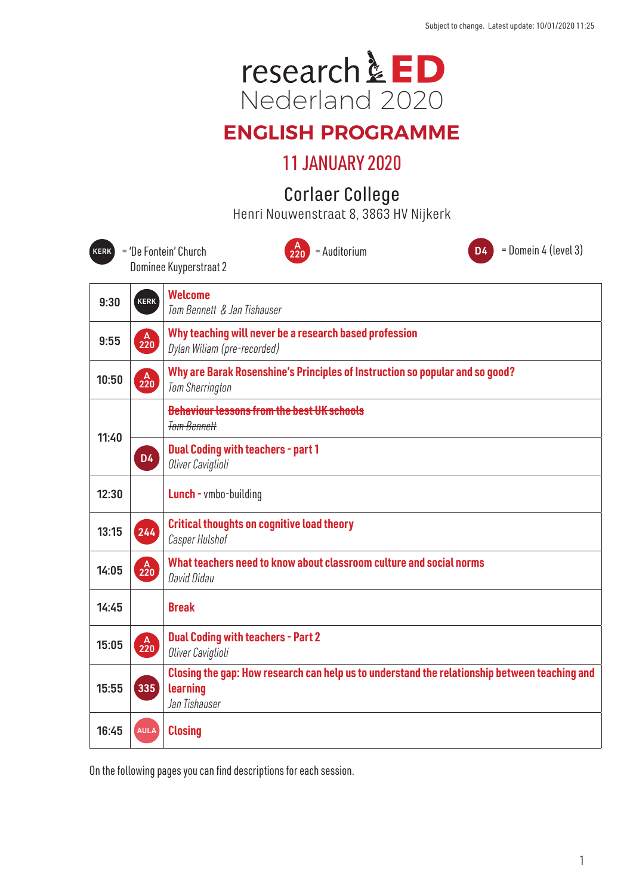

# **ENGLISH PROGRAMME**

# 11 JANUARY 2020

# Corlaer College

Henri Nouwenstraat 8, 3863 HV Nijkerk

| HEIIII NUUWEIISLIEEL 6, JOOJ HY NIJKEI K                                                                                   |                                          |                                                                                                                            |
|----------------------------------------------------------------------------------------------------------------------------|------------------------------------------|----------------------------------------------------------------------------------------------------------------------------|
| $=$ Domein 4 (level 3)<br>= 'De Fontein' Church<br>= Auditorium<br><b>D4</b><br>$2^{20}$<br>KERK<br>Dominee Kuyperstraat 2 |                                          |                                                                                                                            |
| 9:30                                                                                                                       | <b>KERK</b>                              | <b>Welcome</b><br>Tom Bennett & Jan Tishauser                                                                              |
| 9:55                                                                                                                       | $\begin{bmatrix} A \\ 220 \end{bmatrix}$ | Why teaching will never be a research based profession<br>Dylan Wiliam (pre-recorded)                                      |
| 10:50                                                                                                                      | 220                                      | Why are Barak Rosenshine's Principles of Instruction so popular and so good?<br><b>Tom Sherrington</b>                     |
| 11:40                                                                                                                      |                                          | <b>Behaviour lessons from the best UK schools</b><br><b>Tom Bennett</b>                                                    |
|                                                                                                                            | <b>D4</b>                                | <b>Dual Coding with teachers - part 1</b><br>Oliver Caviglioli                                                             |
| 12:30                                                                                                                      |                                          | <b>Lunch</b> - vmbo-building                                                                                               |
| 13:15                                                                                                                      | 244                                      | <b>Critical thoughts on cognitive load theory</b><br>Casper Hulshof                                                        |
| 14:05                                                                                                                      | $A$ <sub>220</sub>                       | What teachers need to know about classroom culture and social norms<br>David Didau                                         |
| 14:45                                                                                                                      |                                          | <b>Break</b>                                                                                                               |
| 15:05                                                                                                                      | 220                                      | <b>Dual Coding with teachers - Part 2</b><br>Oliver Caviglioli                                                             |
| 15:55                                                                                                                      | 335                                      | Closing the gap: How research can help us to understand the relationship between teaching and<br>learning<br>Jan Tishauser |
| 16:45                                                                                                                      | <b>AULA</b>                              | <b>Closing</b>                                                                                                             |

On the following pages you can find descriptions for each session.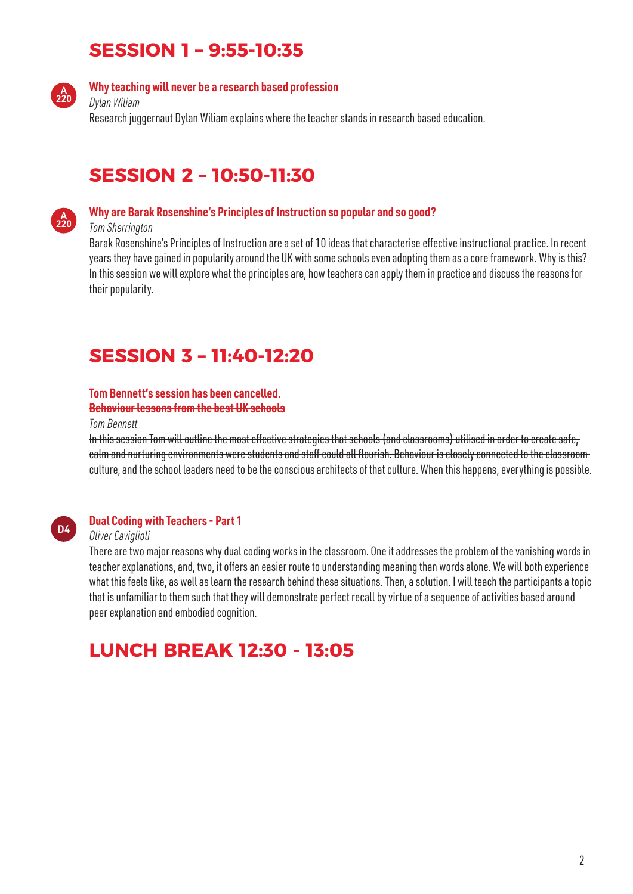# **SESSION 1 – 9:55-10:35**



### **Why teaching will never be a research based profession**

*Dylan Wiliam* Research juggernaut Dylan Wiliam explains where the teacher stands in research based education.

## **SESSION 2 – 10:50-11:30**



#### **Why are Barak Rosenshine's Principles of Instruction so popular and so good?**

#### *Tom Sherrington*

Barak Rosenshine's Principles of Instruction are a set of 10 ideas that characterise effective instructional practice. In recent years they have gained in popularity around the UK with some schools even adopting them as a core framework. Why is this? In this session we will explore what the principles are, how teachers can apply them in practice and discuss the reasons for their popularity.

# **SESSION 3 – 11:40-12:20**

#### **Tom Bennett's session has been cancelled.**

#### **Behaviour lessons from the best UK schools**

*Tom Bennett*

In this session Tom will outline the most effective strategies that schools (and classrooms) utilised in order to create safe, calm and nurturing environments were students and staff could all flourish. Behaviour is closely connected to the classroom culture, and the school leaders need to be the conscious architects of that culture. When this happens, everything is possible.



### **Dual Coding with Teachers - Part 1**

#### *Oliver Caviglioli*

There are two major reasons why dual coding works in the classroom. One it addresses the problem of the vanishing words in teacher explanations, and, two, it offers an easier route to understanding meaning than words alone. We will both experience what this feels like, as well as learn the research behind these situations. Then, a solution. I will teach the participants a topic that is unfamiliar to them such that they will demonstrate perfect recall by virtue of a sequence of activities based around peer explanation and embodied cognition.

# **LUNCH BREAK 12:30 - 13:05**